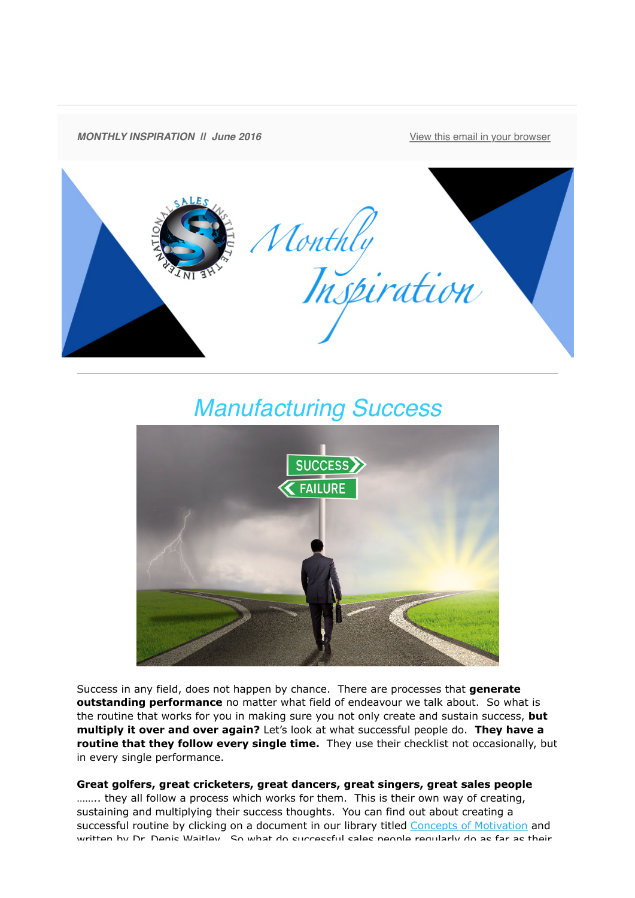

## *Manufacturing Success*



Success in any field, does not happen by chance. There are processes that **generate outstanding performance** no matter what field of endeavour we talk about. So what is the routine that works for you in making sure you not only create and sustain success, **but multiply it over and over again?** Let's look at what successful people do. **They have a routine that they follow every single time.** They use their checklist not occasionally, but in every single performance.

**Great golfers, great cricketers, great dancers, great singers, great sales people** ........ they all follow a process which works for them. This is their own way of creating, sustaining and multiplying their success thoughts. You can find out about creating a successful routine by clicking on a document in our library titled [Concepts of Motivation](http://theinternationalsalesinstitute.us11.list-manage.com/track/click?u=933b80e7a2e18bb216f31e81e&id=32cc6d48ea&e=9f87e78b41) and written by Dr. Denis Waitley. So what do successful sales people requilarly do as far as their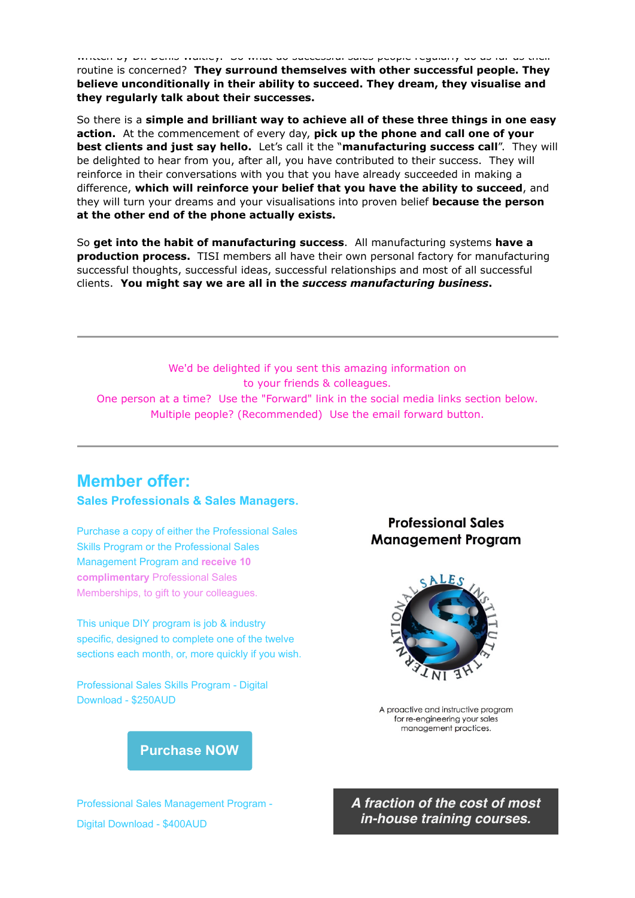written by Dr. Denis Waitley. So what do successful sales people regularly do as far as their routine is concerned? **They surround themselves with other successful people. They believe unconditionally in their ability to succeed. They dream, they visualise and they regularly talk about their successes.**

So there is a **simple and brilliant way to achieve all of these three things in one easy action.** At the commencement of every day, **pick up the phone and call one of your best clients and just say hello.** Let's call it the "**manufacturing success call**". They will be delighted to hear from you, after all, you have contributed to their success. They will reinforce in their conversations with you that you have already succeeded in making a difference, **which will reinforce your belief that you have the ability to succeed**, and they will turn your dreams and your visualisations into proven belief **because the person at the other end of the phone actually exists.**

So **get into the habit of manufacturing success**. All manufacturing systems **have a production process.** TISI members all have their own personal factory for manufacturing successful thoughts, successful ideas, successful relationships and most of all successful clients. **You might say we are all in the** *success manufacturing business***.** 

We'd be delighted if you sent this amazing information on to your friends & colleagues. One person at a time? Use the "Forward" link in the social media links section below. Multiple people? (Recommended) Use the email forward button.

## **Member offer:**

## **Sales Professionals & Sales Managers.**

Purchase a copy of either the Professional Sales Skills Program or the Professional Sales Management Program and **receive 10 complimentary** Professional Sales Memberships, to gift to your colleagues.

This unique DIY program is job & industry specific, designed to complete one of the twelve sections each month, or, more quickly if you wish.

Professional Sales Skills Program - Digital Download - \$250AUD

## **Professional Sales Management Program**



A proactive and instructive program for re-engineering your sales management practices.

**[Purchase NOW](http://theinternationalsalesinstitute.us11.list-manage1.com/track/click?u=933b80e7a2e18bb216f31e81e&id=516519b53e&e=9f87e78b41)**

Professional Sales Management Program - Digital Download - \$400AUD

*A fraction of the cost of most in-house training courses.*